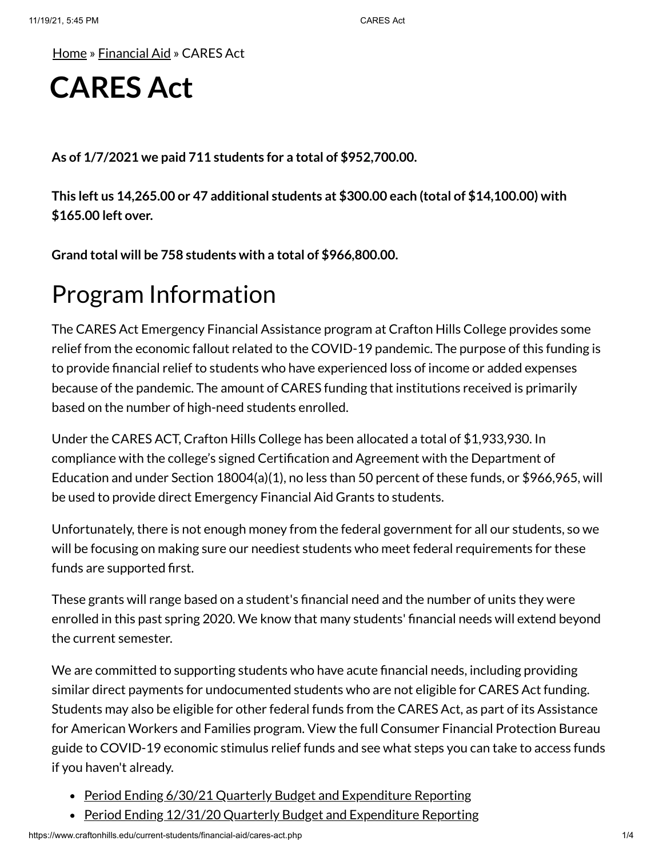[Home](https://www.craftonhills.edu/index.php) » [Financial](https://www.craftonhills.edu/current-students/financial-aid/index.php) Aid » CARES Act

# **CARES Act**

**As of 1/7/2021 we paid 711 students for a total of \$952,700.00.**

**This left us 14,265.00 or 47 additional students at \$300.00 each (total of \$14,100.00) with \$165.00 left over.**

**Grand total will be 758 students with a total of \$966,800.00.**

#### Program Information

The CARES Act Emergency Financial Assistance program at Crafton Hills College provides some relief from the economic fallout related to the COVID-19 pandemic. The purpose of this funding is to provide financial relief to students who have experienced loss of income or added expenses because of the pandemic. The amount of CARES funding that institutions received is primarily based on the number of high-need students enrolled.

Under the CARES ACT, Crafton Hills College has been allocated a total of \$1,933,930. In compliance with the college's signed Certification and Agreement with the Department of Education and under Section 18004(a)(1), no less than 50 percent of these funds, or \$966,965, will be used to provide direct Emergency Financial Aid Grants to students.

Unfortunately, there is not enough money from the federal government for all our students, so we will be focusing on making sure our neediest students who meet federal requirements for these funds are supported first.

These grants will range based on a student's financial need and the number of units they were enrolled in this past spring 2020. We know that many students' financial needs will extend beyond the current semester.

We are committed to supporting students who have acute financial needs, including providing similar direct payments for undocumented students who are not eligible for CARES Act funding. Students may also be eligible for other federal funds from the CARES Act, as part of its Assistance for American Workers and Families program. View the full Consumer Financial Protection Bureau guide to COVID-19 economic stimulus relief funds and see what steps you can take to access funds if you haven't already.

- Period Ending 6/30/21 Quarterly Budget [and Expenditure](https://www.craftonhills.edu/current-students/financial-aid/documents/chc-arpheerfiii-quarterly-reporting-063021.pdf) Reporting
- Period Ending 12/31/20 Quarterly Budget [and Expenditure](https://www.craftonhills.edu/current-students/financial-aid/documents/chc-heerf-quarterly-reporting-v131-123120a.pdf) Reporting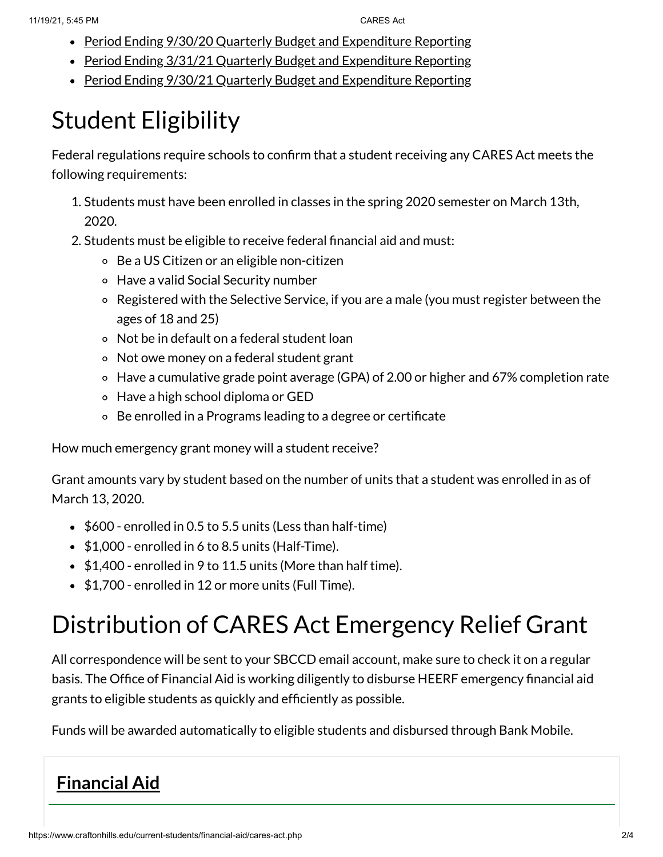- Period Ending 9/30/20 Quarterly Budget [and Expenditure](https://www.craftonhills.edu/current-students/financial-aid/documents/chc-heerf-quarterly-reporting-v1319-30-2020.pdf) Reporting
- Period Ending 3/31/21 Quarterly Budget [and Expenditure](https://www.craftonhills.edu/current-students/financial-aid/documents/chc-heerf-quarterly-reporting-v131-033121a.pdf) Reporting
- Period Ending 9/30/21 Quarterly Budget [and Expenditure](https://www.craftonhills.edu/current-students/financial-aid/documents/chc-arp-heerf-iii-quarterly-reporting-09-30-21.pdf) Reporting

### Student Eligibility

Federal regulations require schools to confirm that a student receiving any CARES Act meets the following requirements:

- 1. Students must have been enrolled in classes in the spring 2020 semester on March 13th, 2020.
- 2. Students must be eligible to receive federal financial aid and must:
	- Be a US Citizen or an eligible non-citizen
	- Have a valid Social Security number
	- Registered with the Selective Service, if you are a male (you must register between the ages of 18 and 25)
	- Not be in default on a federal student loan
	- Not owe money on a federal student grant
	- Have a cumulative grade point average (GPA) of 2.00 or higher and 67% completion rate
	- Have a high school diploma or GED
	- Be enrolled in a Programs leading to a degree or certificate

How much emergency grant money will a student receive?

Grant amounts vary by student based on the number of units that a student was enrolled in as of March 13, 2020.

- $\bullet$  \$600 enrolled in 0.5 to 5.5 units (Less than half-time)
- $\bullet$  \$1,000 enrolled in 6 to 8.5 units (Half-Time).
- \$1,400 enrolled in 9 to 11.5 units (More than half time).
- \$1,700 enrolled in 12 or more units (Full Time).

## Distribution of CARES Act Emergency Relief Grant

All correspondence will be sent to your SBCCD email account, make sure to check it on a regular basis. The Office of Financial Aid is working diligently to disburse HEERF emergency financial aid grants to eligible students as quickly and efficiently as possible.

Funds will be awarded automatically to eligible students and disbursed through Bank Mobile.

#### **[Financial](https://www.craftonhills.edu/current-students/financial-aid/index.php) Aid**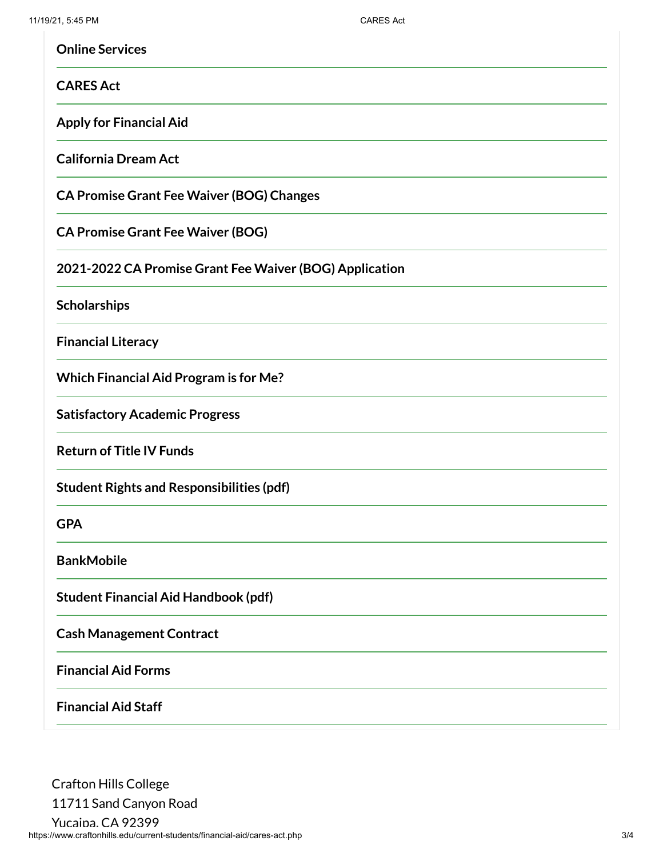| <b>Online Services</b>                                  |
|---------------------------------------------------------|
| <b>CARES Act</b>                                        |
| <b>Apply for Financial Aid</b>                          |
| <b>California Dream Act</b>                             |
| <b>CA Promise Grant Fee Waiver (BOG) Changes</b>        |
| <b>CA Promise Grant Fee Waiver (BOG)</b>                |
| 2021-2022 CA Promise Grant Fee Waiver (BOG) Application |
| <b>Scholarships</b>                                     |
| <b>Financial Literacy</b>                               |
| <b>Which Financial Aid Program is for Me?</b>           |
| <b>Satisfactory Academic Progress</b>                   |
| <b>Return of Title IV Funds</b>                         |
| <b>Student Rights and Responsibilities (pdf)</b>        |
| <b>GPA</b>                                              |
| <b>BankMobile</b>                                       |
| <b>Student Financial Aid Handbook (pdf)</b>             |
| <b>Cash Management Contract</b>                         |
| <b>Financial Aid Forms</b>                              |
| <b>Financial Aid Staff</b>                              |